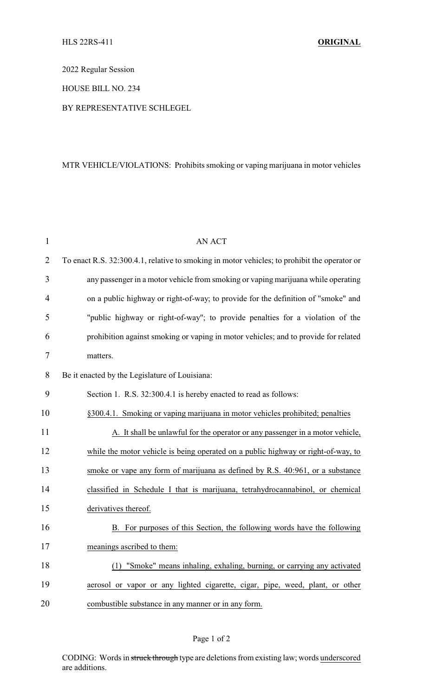2022 Regular Session

HOUSE BILL NO. 234

BY REPRESENTATIVE SCHLEGEL

## MTR VEHICLE/VIOLATIONS: Prohibits smoking or vaping marijuana in motor vehicles

| $\mathbf{1}$   | <b>AN ACT</b>                                                                                |  |
|----------------|----------------------------------------------------------------------------------------------|--|
| $\overline{2}$ | To enact R.S. 32:300.4.1, relative to smoking in motor vehicles; to prohibit the operator or |  |
| 3              | any passenger in a motor vehicle from smoking or vaping marijuana while operating            |  |
| $\overline{4}$ | on a public highway or right-of-way; to provide for the definition of "smoke" and            |  |
| 5              | "public highway or right-of-way"; to provide penalties for a violation of the                |  |
| 6              | prohibition against smoking or vaping in motor vehicles; and to provide for related          |  |
| 7              | matters.                                                                                     |  |
| 8              | Be it enacted by the Legislature of Louisiana:                                               |  |
| 9              | Section 1. R.S. 32:300.4.1 is hereby enacted to read as follows:                             |  |
| 10             | §300.4.1. Smoking or vaping marijuana in motor vehicles prohibited; penalties                |  |
| 11             | A. It shall be unlawful for the operator or any passenger in a motor vehicle,                |  |
| 12             | while the motor vehicle is being operated on a public highway or right-of-way, to            |  |
| 13             | smoke or vape any form of marijuana as defined by R.S. 40:961, or a substance                |  |
| 14             | classified in Schedule I that is marijuana, tetrahydrocannabinol, or chemical                |  |
| 15             | derivatives thereof.                                                                         |  |
| 16             | For purposes of this Section, the following words have the following<br>B.                   |  |
| 17             | meanings ascribed to them:                                                                   |  |
| 18             | "Smoke" means inhaling, exhaling, burning, or carrying any activated                         |  |
| 19             | aerosol or vapor or any lighted cigarette, cigar, pipe, weed, plant, or other                |  |
| 20             | combustible substance in any manner or in any form.                                          |  |

## Page 1 of 2

CODING: Words in struck through type are deletions from existing law; words underscored are additions.